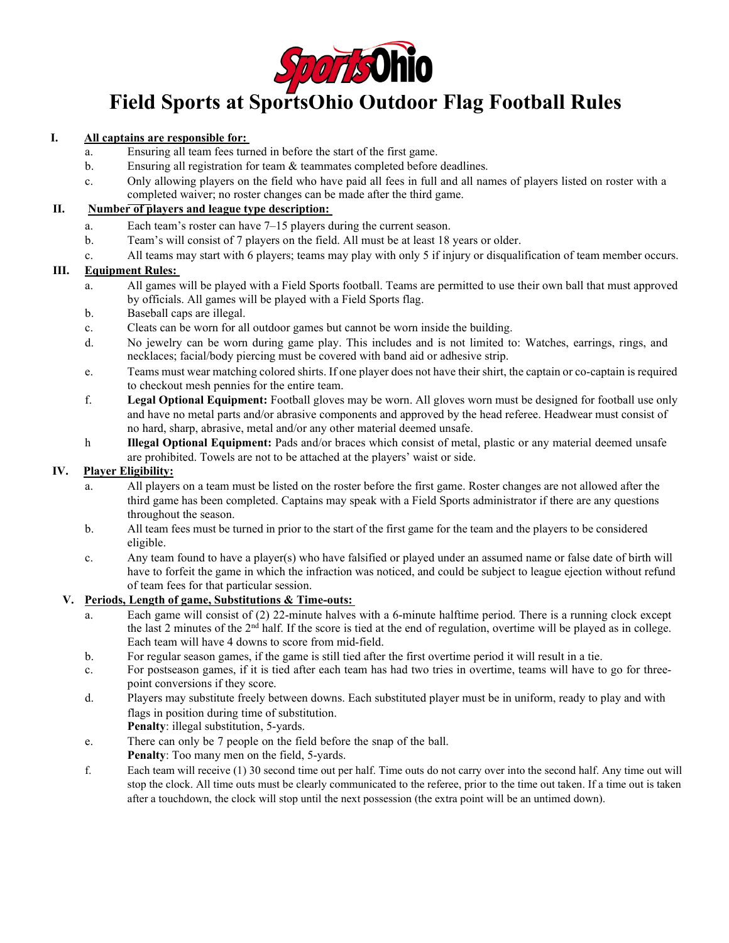

# **Field Sports at SportsOhio Outdoor Flag Football Rules**

#### **I. All captains are responsible for:**

- a. Ensuring all team fees turned in before the start of the first game.
- b. Ensuring all registration for team & teammates completed before deadlines.
- c. Only allowing players on the field who have paid all fees in full and all names of players listed on roster with a completed waiver; no roster changes can be made after the third game.

#### **II. Number of players and league type description:**

- a. Each team's roster can have 7–15 players during the current season.
- b. Team's will consist of 7 players on the field. All must be at least 18 years or older.
- c. All teams may start with 6 players; teams may play with only 5 if injury or disqualification of team member occurs.

#### **III. Equipment Rules:**

- a. All games will be played with a Field Sports football. Teams are permitted to use their own ball that must approved by officials. All games will be played with a Field Sports flag.
- b. Baseball caps are illegal.
- c. Cleats can be worn for all outdoor games but cannot be worn inside the building.
- d. No jewelry can be worn during game play. This includes and is not limited to: Watches, earrings, rings, and necklaces; facial/body piercing must be covered with band aid or adhesive strip.
- e. Teams must wear matching colored shirts. If one player does not have their shirt, the captain or co-captain is required to checkout mesh pennies for the entire team.
- f. **Legal Optional Equipment:** Football gloves may be worn. All gloves worn must be designed for football use only and have no metal parts and/or abrasive components and approved by the head referee. Headwear must consist of no hard, sharp, abrasive, metal and/or any other material deemed unsafe.
- h **Illegal Optional Equipment:** Pads and/or braces which consist of metal, plastic or any material deemed unsafe are prohibited. Towels are not to be attached at the players' waist or side.

### **IV. Player Eligibility:**

- a. All players on a team must be listed on the roster before the first game. Roster changes are not allowed after the third game has been completed. Captains may speak with a Field Sports administrator if there are any questions throughout the season.
- b. All team fees must be turned in prior to the start of the first game for the team and the players to be considered eligible.
- c. Any team found to have a player(s) who have falsified or played under an assumed name or false date of birth will have to forfeit the game in which the infraction was noticed, and could be subject to league ejection without refund of team fees for that particular session.

#### **V. Periods, Length of game, Substitutions & Time-outs:**

- a. Each game will consist of (2) 22-minute halves with a 6-minute halftime period. There is a running clock except the last 2 minutes of the 2<sup>nd</sup> half. If the score is tied at the end of regulation, overtime will be played as in college. Each team will have 4 downs to score from mid-field.
- b. For regular season games, if the game is still tied after the first overtime period it will result in a tie.
- c. For postseason games, if it is tied after each team has had two tries in overtime, teams will have to go for threepoint conversions if they score.
- d. Players may substitute freely between downs. Each substituted player must be in uniform, ready to play and with flags in position during time of substitution.
	- **Penalty**: illegal substitution, 5-yards.
- e. There can only be 7 people on the field before the snap of the ball. **Penalty**: Too many men on the field, 5-yards.
- f. Each team will receive (1) 30 second time out per half. Time outs do not carry over into the second half. Any time out will stop the clock. All time outs must be clearly communicated to the referee, prior to the time out taken. If a time out is taken after a touchdown, the clock will stop until the next possession (the extra point will be an untimed down).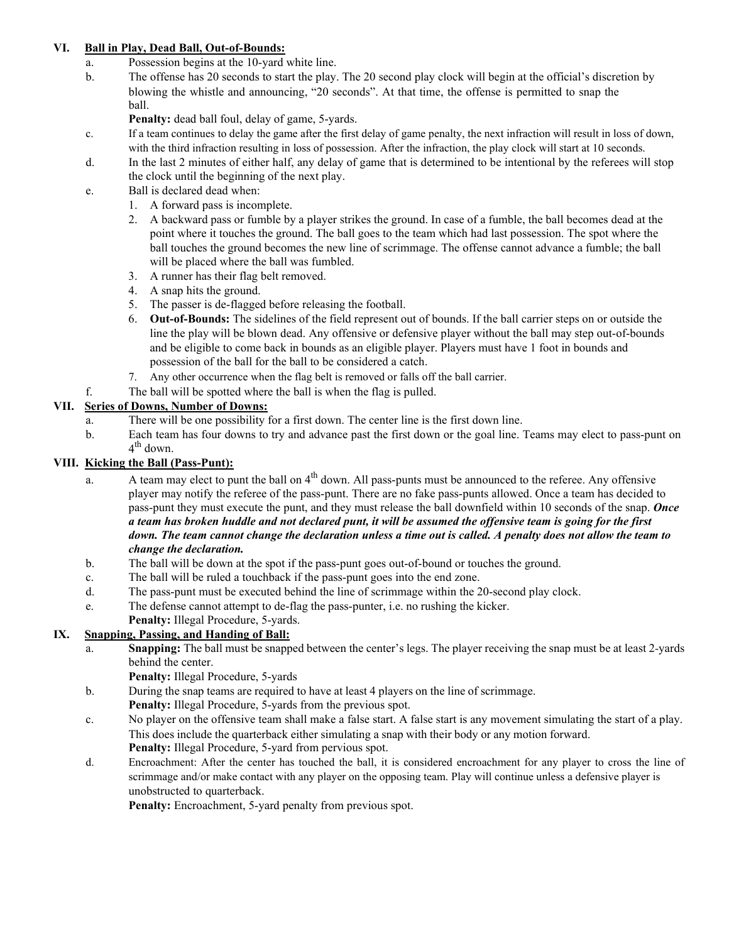#### **VI. Ball in Play, Dead Ball, Out-of-Bounds:**

- a. Possession begins at the 10-yard white line.
- b. The offense has 20 seconds to start the play. The 20 second play clock will begin at the official's discretion by blowing the whistle and announcing, "20 seconds". At that time, the offense is permitted to snap the ball.

Penalty: dead ball foul, delay of game, 5-yards.

- c. If a team continues to delay the game after the first delay of game penalty, the next infraction will result in loss of down, with the third infraction resulting in loss of possession. After the infraction, the play clock will start at 10 seconds.
- d. In the last 2 minutes of either half, any delay of game that is determined to be intentional by the referees will stop the clock until the beginning of the next play.
- e. Ball is declared dead when:
	- 1. A forward pass is incomplete.
	- 2. A backward pass or fumble by a player strikes the ground. In case of a fumble, the ball becomes dead at the point where it touches the ground. The ball goes to the team which had last possession. The spot where the ball touches the ground becomes the new line of scrimmage. The offense cannot advance a fumble; the ball will be placed where the ball was fumbled.
	- 3. A runner has their flag belt removed.
	- 4. A snap hits the ground.
	- 5. The passer is de-flagged before releasing the football.
	- 6. **Out-of-Bounds:** The sidelines of the field represent out of bounds. If the ball carrier steps on or outside the line the play will be blown dead. Any offensive or defensive player without the ball may step out-of-bounds and be eligible to come back in bounds as an eligible player. Players must have 1 foot in bounds and possession of the ball for the ball to be considered a catch.
	- 7. Any other occurrence when the flag belt is removed or falls off the ball carrier.
- f. The ball will be spotted where the ball is when the flag is pulled.

# **VII. Series of Downs, Number of Downs:**

- a. There will be one possibility for a first down. The center line is the first down line.
- b. Each team has four downs to try and advance past the first down or the goal line. Teams may elect to pass-punt on  $4<sup>th</sup>$  down.

# **VIII. Kicking the Ball (Pass-Punt):**

- a. A team may elect to punt the ball on  $4<sup>th</sup>$  down. All pass-punts must be announced to the referee. Any offensive player may notify the referee of the pass-punt. There are no fake pass-punts allowed. Once a team has decided to pass-punt they must execute the punt, and they must release the ball downfield within 10 seconds of the snap. *Once a team has broken huddle and not declared punt, it will be assumed the offensive team is going for the first down. The team cannot change the declaration unless a time out is called. A penalty does not allow the team to change the declaration.*
- b. The ball will be down at the spot if the pass-punt goes out-of-bound or touches the ground.
- c. The ball will be ruled a touchback if the pass-punt goes into the end zone.
- d. The pass-punt must be executed behind the line of scrimmage within the 20-second play clock.
- e. The defense cannot attempt to de-flag the pass-punter, i.e. no rushing the kicker.
- **Penalty:** Illegal Procedure, 5-yards.

# **IX. Snapping, Passing, and Handing of Ball:**

- a. **Snapping:** The ball must be snapped between the center's legs. The player receiving the snap must be at least 2*-*yards behind the center.
	- **Penalty:** Illegal Procedure, 5-yards
- b. During the snap teams are required to have at least 4 players on the line of scrimmage. **Penalty:** Illegal Procedure, 5-yards from the previous spot.
- c. No player on the offensive team shall make a false start. A false start is any movement simulating the start of a play. This does include the quarterback either simulating a snap with their body or any motion forward. **Penalty:** Illegal Procedure, 5-yard from pervious spot.
- d. Encroachment: After the center has touched the ball, it is considered encroachment for any player to cross the line of scrimmage and/or make contact with any player on the opposing team. Play will continue unless a defensive player is unobstructed to quarterback.

Penalty: Encroachment, 5-yard penalty from previous spot.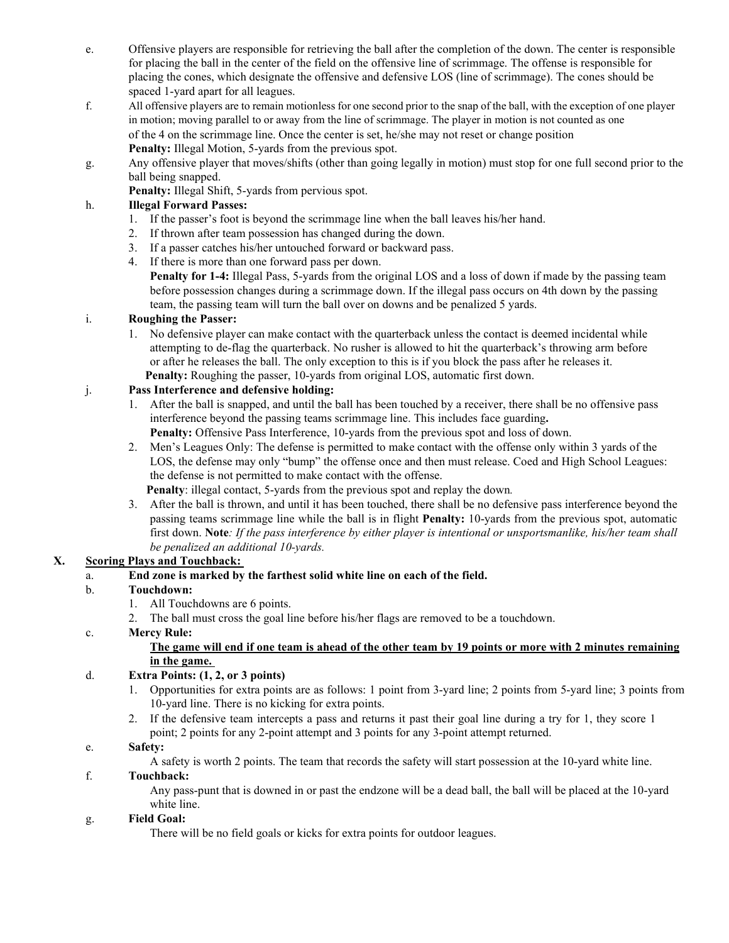- e. Offensive players are responsible for retrieving the ball after the completion of the down. The center is responsible for placing the ball in the center of the field on the offensive line of scrimmage. The offense is responsible for placing the cones, which designate the offensive and defensive LOS (line of scrimmage). The cones should be spaced 1-yard apart for all leagues.
- f. All offensive players are to remain motionless for one second prior to the snap of the ball, with the exception of one player in motion; moving parallel to or away from the line of scrimmage. The player in motion is not counted as one of the 4 on the scrimmage line. Once the center is set, he/she may not reset or change position **Penalty:** Illegal Motion, 5-yards from the previous spot.
- g. Any offensive player that moves/shifts (other than going legally in motion) must stop for one full second prior to the ball being snapped.

**Penalty:** Illegal Shift, 5-yards from pervious spot.

### h. **Illegal Forward Passes:**

- 1. If the passer's foot is beyond the scrimmage line when the ball leaves his/her hand.
- 2. If thrown after team possession has changed during the down.
- 3. If a passer catches his/her untouched forward or backward pass.
- 4. If there is more than one forward pass per down.

**Penalty for 1-4:** Illegal Pass, 5-yards from the original LOS and a loss of down if made by the passing team before possession changes during a scrimmage down. If the illegal pass occurs on 4th down by the passing team, the passing team will turn the ball over on downs and be penalized 5 yards.

# i. **Roughing the Passer:**

1. No defensive player can make contact with the quarterback unless the contact is deemed incidental while attempting to de-flag the quarterback. No rusher is allowed to hit the quarterback's throwing arm before or after he releases the ball. The only exception to this is if you block the pass after he releases it. Penalty: Roughing the passer, 10-yards from original LOS, automatic first down.

# j. **Pass Interference and defensive holding:**

- 1. After the ball is snapped, and until the ball has been touched by a receiver, there shall be no offensive pass interference beyond the passing teams scrimmage line. This includes face guarding**.** Penalty: Offensive Pass Interference, 10-yards from the previous spot and loss of down.
- 2. Men's Leagues Only: The defense is permitted to make contact with the offense only within 3 yards of the LOS, the defense may only "bump" the offense once and then must release. Coed and High School Leagues: the defense is not permitted to make contact with the offense.
	- **Penalty**: illegal contact, 5-yards from the previous spot and replay the down*.*
- 3. After the ball is thrown, and until it has been touched, there shall be no defensive pass interference beyond the passing teams scrimmage line while the ball is in flight **Penalty:** 10-yards from the previous spot, automatic first down. **Note***: If the pass interference by either player is intentional or unsportsmanlike, his/her team shall be penalized an additional 10-yards.*

### **X. Scoring Plays and Touchback:**

### a. **End zone is marked by the farthest solid white line on each of the field.**

#### b. **Touchdown:**

- 1. All Touchdowns are 6 points.
- 2. The ball must cross the goal line before his/her flags are removed to be a touchdown.

#### c. **Mercy Rule:**

#### **The game will end if one team is ahead of the other team by 19 points or more with 2 minutes remaining in the game.**

#### d. **Extra Points: (1, 2, or 3 points)**

- 1. Opportunities for extra points are as follows: 1 point from 3-yard line; 2 points from 5-yard line; 3 points from 10-yard line. There is no kicking for extra points.
- 2. If the defensive team intercepts a pass and returns it past their goal line during a try for 1, they score 1 point; 2 points for any 2-point attempt and 3 points for any 3-point attempt returned.

#### e. **Safety:**

A safety is worth 2 points. The team that records the safety will start possession at the 10-yard white line.

#### f. **Touchback:**

Any pass-punt that is downed in or past the endzone will be a dead ball, the ball will be placed at the 10-yard white line.

#### g. **Field Goal:**

There will be no field goals or kicks for extra points for outdoor leagues.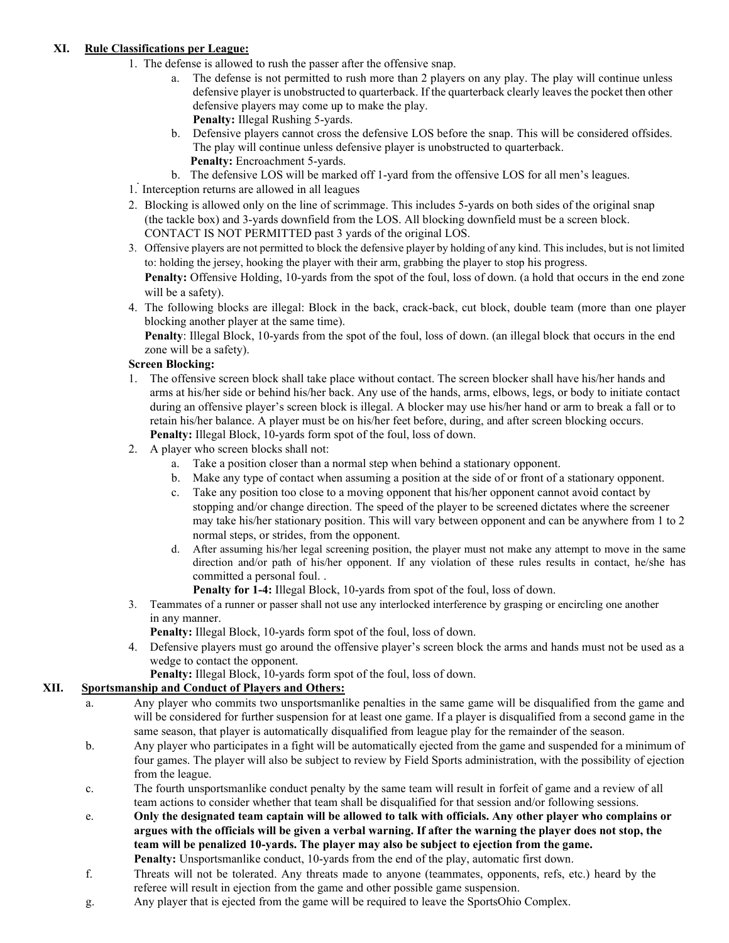### **XI. Rule Classifications per League:**

- 1. The defense is allowed to rush the passer after the offensive snap.
	- a. The defense is not permitted to rush more than 2 players on any play. The play will continue unless defensive player is unobstructed to quarterback. If the quarterback clearly leaves the pocket then other defensive players may come up to make the play. **Penalty:** Illegal Rushing 5-yards.
	- b. Defensive players cannot cross the defensive LOS before the snap. This will be considered offsides. The play will continue unless defensive player is unobstructed to quarterback. Penalty: Encroachment 5-yards.
	- b. The defensive LOS will be marked off 1-yard from the offensive LOS for all men's leagues.
- 1. Interception returns are allowed in all leagues
- 2. Blocking is allowed only on the line of scrimmage. This includes 5-yards on both sides of the original snap (the tackle box) and 3-yards downfield from the LOS. All blocking downfield must be a screen block. CONTACT IS NOT PERMITTED past 3 yards of the original LOS.
- 3. Offensive players are not permitted to block the defensive player by holding of any kind. This includes, but is not limited to: holding the jersey, hooking the player with their arm, grabbing the player to stop his progress. **Penalty:** Offensive Holding, 10-yards from the spot of the foul, loss of down. (a hold that occurs in the end zone will be a safety).
- 4. The following blocks are illegal: Block in the back, crack-back, cut block, double team (more than one player blocking another player at the same time).

**Penalty**: Illegal Block, 10-yards from the spot of the foul, loss of down. (an illegal block that occurs in the end zone will be a safety).

#### **Screen Blocking:**

- 1. The offensive screen block shall take place without contact. The screen blocker shall have his/her hands and arms at his/her side or behind his/her back. Any use of the hands, arms, elbows, legs, or body to initiate contact during an offensive player's screen block is illegal. A blocker may use his/her hand or arm to break a fall or to retain his/her balance. A player must be on his/her feet before, during, and after screen blocking occurs. **Penalty:** Illegal Block, 10-yards form spot of the foul, loss of down.
- 2. A player who screen blocks shall not:
	- a. Take a position closer than a normal step when behind a stationary opponent.
	- b. Make any type of contact when assuming a position at the side of or front of a stationary opponent.
	- c. Take any position too close to a moving opponent that his/her opponent cannot avoid contact by stopping and/or change direction. The speed of the player to be screened dictates where the screener may take his/her stationary position. This will vary between opponent and can be anywhere from 1 to 2 normal steps, or strides, from the opponent.
	- d. After assuming his/her legal screening position, the player must not make any attempt to move in the same direction and/or path of his/her opponent. If any violation of these rules results in contact, he/she has committed a personal foul. .

**Penalty for 1-4:** Illegal Block, 10-yards from spot of the foul, loss of down.

3. Teammates of a runner or passer shall not use any interlocked interference by grasping or encircling one another in any manner.

**Penalty:** Illegal Block, 10-yards form spot of the foul, loss of down.

4. Defensive players must go around the offensive player's screen block the arms and hands must not be used as a wedge to contact the opponent.

**Penalty:** Illegal Block, 10-yards form spot of the foul, loss of down.

#### **XII. Sportsmanship and Conduct of Players and Others:**

- a. Any player who commits two unsportsmanlike penalties in the same game will be disqualified from the game and will be considered for further suspension for at least one game. If a player is disqualified from a second game in the same season, that player is automatically disqualified from league play for the remainder of the season.
- b. Any player who participates in a fight will be automatically ejected from the game and suspended for a minimum of four games. The player will also be subject to review by Field Sports administration, with the possibility of ejection from the league.
- c. The fourth unsportsmanlike conduct penalty by the same team will result in forfeit of game and a review of all team actions to consider whether that team shall be disqualified for that session and/or following sessions.
- e. **Only the designated team captain will be allowed to talk with officials. Any other player who complains or argues with the officials will be given a verbal warning. If after the warning the player does not stop, the team will be penalized 10-yards. The player may also be subject to ejection from the game. Penalty:** Unsportsmanlike conduct, 10-yards from the end of the play, automatic first down.
- f. Threats will not be tolerated. Any threats made to anyone (teammates, opponents, refs, etc.) heard by the referee will result in ejection from the game and other possible game suspension.
- g. Any player that is ejected from the game will be required to leave the SportsOhio Complex.